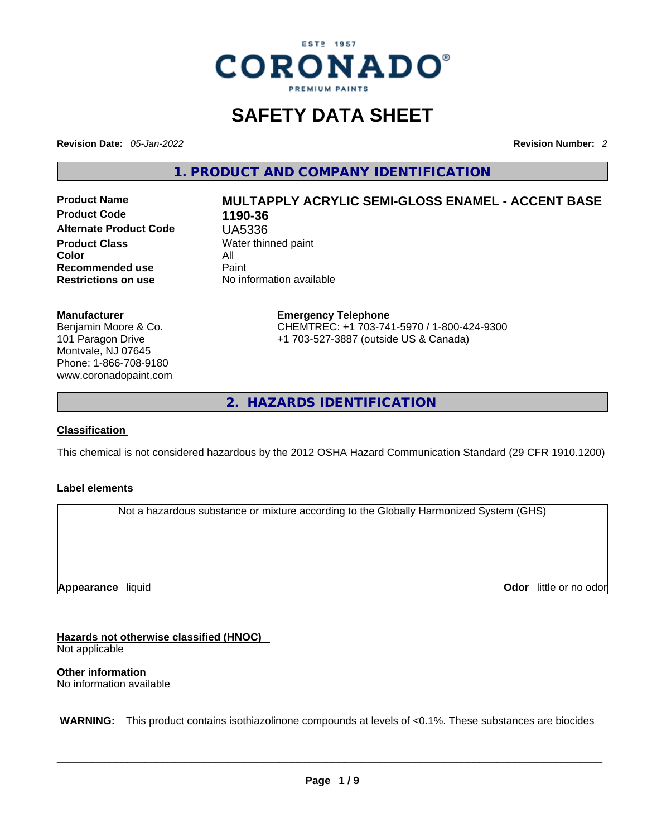

## **SAFETY DATA SHEET**

**Revision Date:** *05-Jan-2022* **Revision Number:** *2*

**1. PRODUCT AND COMPANY IDENTIFICATION** 

**Product Code 1190-36 Alternate Product Code** UA5336 **Product Class Water thinned paint**<br> **Color Color** All **Recommended use Paint Restrictions on use** No information available

# **Product Name MULTAPPLY ACRYLIC SEMI-GLOSS ENAMEL - ACCENT BASE**

**Manufacturer**

Benjamin Moore & Co. 101 Paragon Drive Montvale, NJ 07645 Phone: 1-866-708-9180 www.coronadopaint.com

#### **Emergency Telephone** CHEMTREC: +1 703-741-5970 / 1-800-424-9300 +1 703-527-3887 (outside US & Canada)

**2. HAZARDS IDENTIFICATION** 

#### **Classification**

This chemical is not considered hazardous by the 2012 OSHA Hazard Communication Standard (29 CFR 1910.1200)

#### **Label elements**

Not a hazardous substance or mixture according to the Globally Harmonized System (GHS)

**Appearance** liquid

**Odor** little or no odor

**Hazards not otherwise classified (HNOC)**  Not applicable

**Other information**  No information available

 **WARNING:** This product contains isothiazolinone compounds at levels of <0.1%. These substances are biocides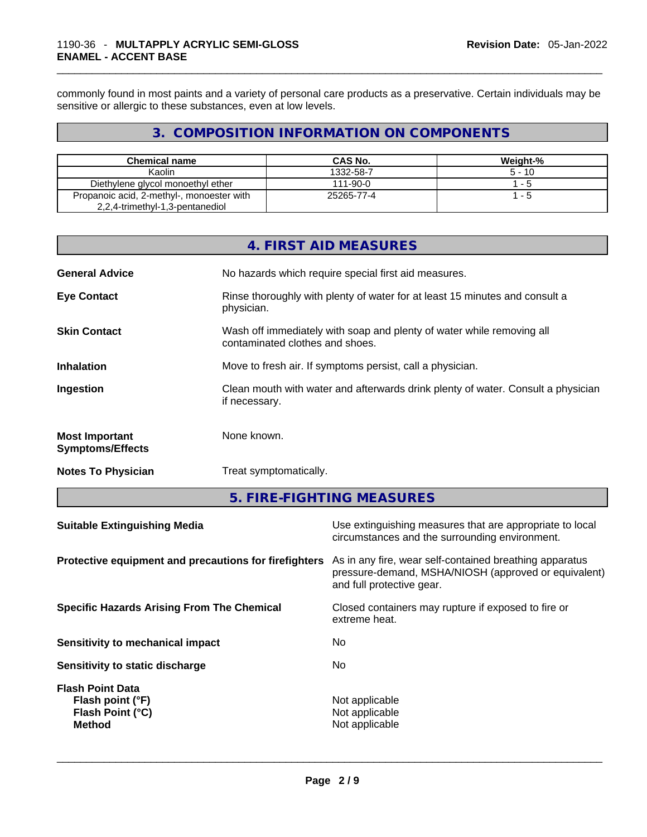commonly found in most paints and a variety of personal care products as a preservative. Certain individuals may be sensitive or allergic to these substances, even at low levels.

#### **3. COMPOSITION INFORMATION ON COMPONENTS**

| <b>Chemical name</b>                      | <b>CAS No.</b> | Weight-% |
|-------------------------------------------|----------------|----------|
| Kaolin                                    | 1332-58-7      | $5 - 10$ |
| Diethylene glycol monoethyl ether         | 111-90-0       | 1 - 5    |
| Propanoic acid, 2-methyl-, monoester with | 25265-77-4     | 1 - 5    |
| 2,2,4-trimethyl-1,3-pentanediol           |                |          |

|                                                  | 4. FIRST AID MEASURES                                                                                    |
|--------------------------------------------------|----------------------------------------------------------------------------------------------------------|
| <b>General Advice</b>                            | No hazards which require special first aid measures.                                                     |
| <b>Eye Contact</b>                               | Rinse thoroughly with plenty of water for at least 15 minutes and consult a<br>physician.                |
| <b>Skin Contact</b>                              | Wash off immediately with soap and plenty of water while removing all<br>contaminated clothes and shoes. |
| <b>Inhalation</b>                                | Move to fresh air. If symptoms persist, call a physician.                                                |
| Ingestion                                        | Clean mouth with water and afterwards drink plenty of water. Consult a physician<br>if necessary.        |
| <b>Most Important</b><br><b>Symptoms/Effects</b> | None known.                                                                                              |
| <b>Notes To Physician</b>                        | Treat symptomatically.                                                                                   |
|                                                  |                                                                                                          |

**5. FIRE-FIGHTING MEASURES** 

| <b>Suitable Extinguishing Media</b>                                              | Use extinguishing measures that are appropriate to local<br>circumstances and the surrounding environment.                                   |
|----------------------------------------------------------------------------------|----------------------------------------------------------------------------------------------------------------------------------------------|
| Protective equipment and precautions for firefighters                            | As in any fire, wear self-contained breathing apparatus<br>pressure-demand, MSHA/NIOSH (approved or equivalent)<br>and full protective gear. |
| <b>Specific Hazards Arising From The Chemical</b>                                | Closed containers may rupture if exposed to fire or<br>extreme heat.                                                                         |
| <b>Sensitivity to mechanical impact</b>                                          | No.                                                                                                                                          |
| Sensitivity to static discharge                                                  | No.                                                                                                                                          |
| <b>Flash Point Data</b><br>Flash point (°F)<br>Flash Point (°C)<br><b>Method</b> | Not applicable<br>Not applicable<br>Not applicable                                                                                           |
|                                                                                  |                                                                                                                                              |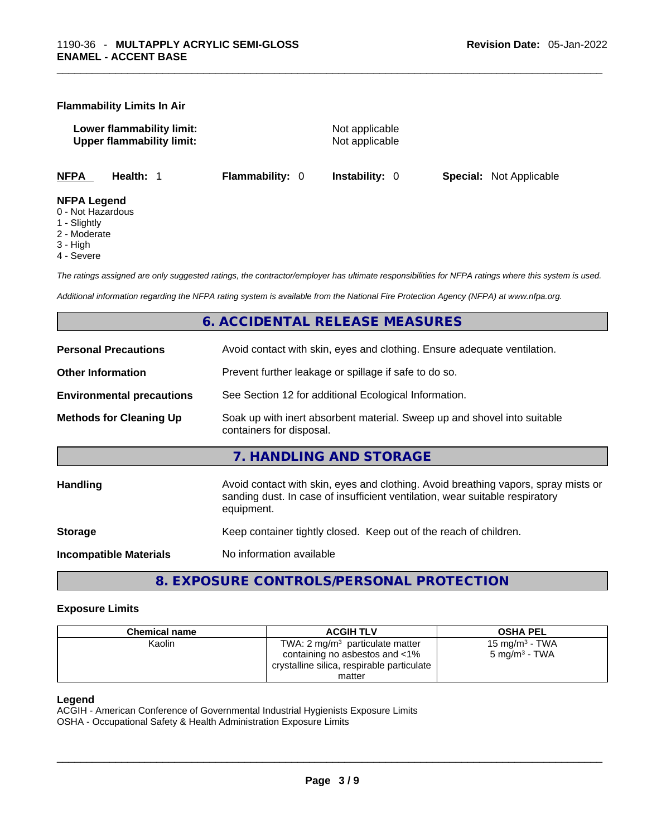#### **Flammability Limits In Air**

**Lower flammability limit:** Not applicable **Upper flammability limit:** Not applicable

**NFPA Health:** 1 **Flammability:** 0 **Instability:** 0 **Special:** Not Applicable

#### **NFPA Legend**

- 0 Not Hazardous
- 1 Slightly
- 2 Moderate
- 3 High
- 4 Severe

*The ratings assigned are only suggested ratings, the contractor/employer has ultimate responsibilities for NFPA ratings where this system is used.* 

*Additional information regarding the NFPA rating system is available from the National Fire Protection Agency (NFPA) at www.nfpa.org.* 

#### **6. ACCIDENTAL RELEASE MEASURES**

| <b>Personal Precautions</b>      | Avoid contact with skin, eyes and clothing. Ensure adequate ventilation.                                                                                                         |  |  |
|----------------------------------|----------------------------------------------------------------------------------------------------------------------------------------------------------------------------------|--|--|
| <b>Other Information</b>         | Prevent further leakage or spillage if safe to do so.                                                                                                                            |  |  |
| <b>Environmental precautions</b> | See Section 12 for additional Ecological Information.                                                                                                                            |  |  |
| <b>Methods for Cleaning Up</b>   | Soak up with inert absorbent material. Sweep up and shovel into suitable<br>containers for disposal.                                                                             |  |  |
|                                  | 7. HANDLING AND STORAGE                                                                                                                                                          |  |  |
| Handling                         | Avoid contact with skin, eyes and clothing. Avoid breathing vapors, spray mists or<br>sanding dust. In case of insufficient ventilation, wear suitable respiratory<br>equipment. |  |  |
| <b>Storage</b>                   | Keep container tightly closed. Keep out of the reach of children.                                                                                                                |  |  |
| <b>Incompatible Materials</b>    | No information available                                                                                                                                                         |  |  |

#### **8. EXPOSURE CONTROLS/PERSONAL PROTECTION**

#### **Exposure Limits**

| <b>Chemical name</b> | <b>ACGIH TLV</b>                           | <b>OSHA PEL</b>   |
|----------------------|--------------------------------------------|-------------------|
| Kaolin               | TWA: $2 \text{ mq/m}^3$ particulate matter | 15 mg/m $3$ - TWA |
|                      | containing no asbestos and <1%             | 5 mg/m $^3$ - TWA |
|                      | crystalline silica, respirable particulate |                   |
|                      | matter                                     |                   |

#### **Legend**

ACGIH - American Conference of Governmental Industrial Hygienists Exposure Limits OSHA - Occupational Safety & Health Administration Exposure Limits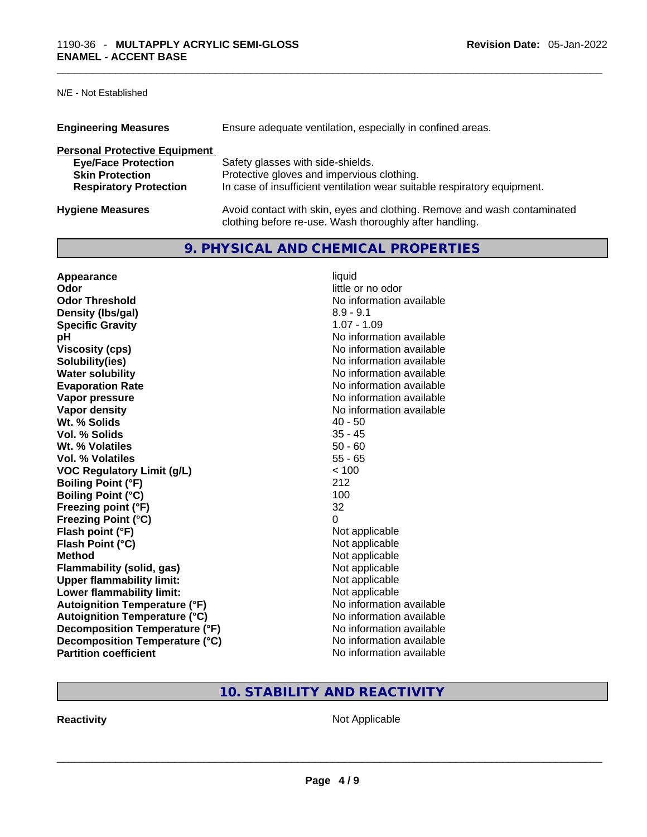N/E - Not Established

| <b>Engineering Measures</b>          | Ensure adequate ventilation, especially in confined areas.                                                                          |
|--------------------------------------|-------------------------------------------------------------------------------------------------------------------------------------|
| <b>Personal Protective Equipment</b> |                                                                                                                                     |
| <b>Eye/Face Protection</b>           | Safety glasses with side-shields.                                                                                                   |
| <b>Skin Protection</b>               | Protective gloves and impervious clothing.                                                                                          |
| <b>Respiratory Protection</b>        | In case of insufficient ventilation wear suitable respiratory equipment.                                                            |
| <b>Hygiene Measures</b>              | Avoid contact with skin, eyes and clothing. Remove and wash contaminated<br>clothing before re-use. Wash thoroughly after handling. |

#### **9. PHYSICAL AND CHEMICAL PROPERTIES**

| Appearance                           | liquid                   |
|--------------------------------------|--------------------------|
| Odor                                 | little or no odor        |
| <b>Odor Threshold</b>                | No information available |
| Density (Ibs/gal)                    | $8.9 - 9.1$              |
| <b>Specific Gravity</b>              | $1.07 - 1.09$            |
| рH                                   | No information available |
| <b>Viscosity (cps)</b>               | No information available |
| Solubility(ies)                      | No information available |
| <b>Water solubility</b>              | No information available |
| <b>Evaporation Rate</b>              | No information available |
| Vapor pressure                       | No information available |
| Vapor density                        | No information available |
| Wt. % Solids                         | $40 - 50$                |
| Vol. % Solids                        | $35 - 45$                |
| Wt. % Volatiles                      | $50 - 60$                |
| Vol. % Volatiles                     | $55 - 65$                |
| <b>VOC Regulatory Limit (g/L)</b>    | < 100                    |
| <b>Boiling Point (°F)</b>            | 212                      |
| <b>Boiling Point (°C)</b>            | 100                      |
| Freezing point (°F)                  | 32                       |
| <b>Freezing Point (°C)</b>           | 0                        |
| Flash point (°F)                     | Not applicable           |
| Flash Point (°C)                     | Not applicable           |
| <b>Method</b>                        | Not applicable           |
| <b>Flammability (solid, gas)</b>     | Not applicable           |
| <b>Upper flammability limit:</b>     | Not applicable           |
| Lower flammability limit:            | Not applicable           |
| <b>Autoignition Temperature (°F)</b> | No information available |
| <b>Autoignition Temperature (°C)</b> | No information available |
| Decomposition Temperature (°F)       | No information available |
| Decomposition Temperature (°C)       | No information available |
| <b>Partition coefficient</b>         | No information available |

#### **10. STABILITY AND REACTIVITY**

**Reactivity** Not Applicable \_\_\_\_\_\_\_\_\_\_\_\_\_\_\_\_\_\_\_\_\_\_\_\_\_\_\_\_\_\_\_\_\_\_\_\_\_\_\_\_\_\_\_\_\_\_\_\_\_\_\_\_\_\_\_\_\_\_\_\_\_\_\_\_\_\_\_\_\_\_\_\_\_\_\_\_\_\_\_\_\_\_\_\_\_\_\_\_\_\_\_\_\_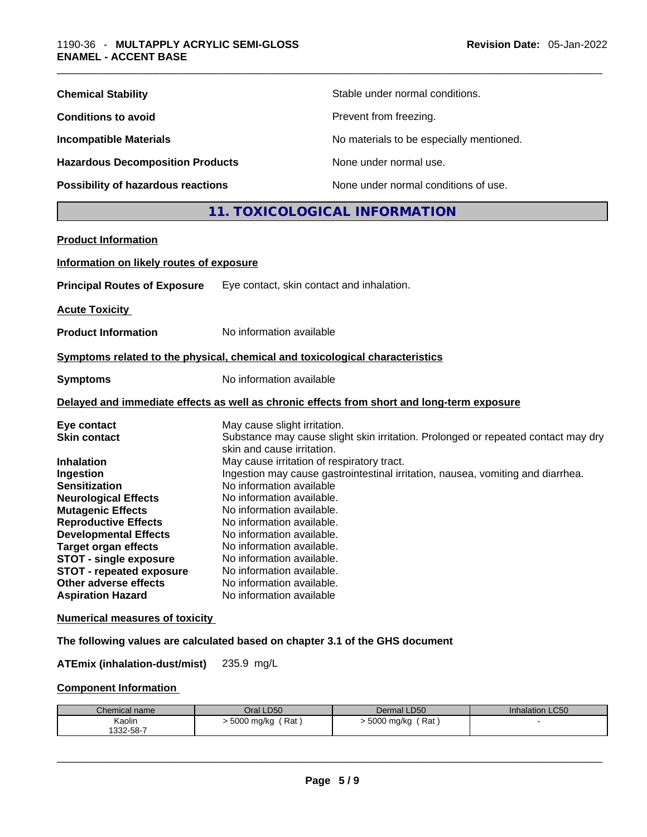| <b>Chemical Stability</b>               | Stable under normal conditions.          |
|-----------------------------------------|------------------------------------------|
| <b>Conditions to avoid</b>              | Prevent from freezing.                   |
| <b>Incompatible Materials</b>           | No materials to be especially mentioned. |
| <b>Hazardous Decomposition Products</b> | None under normal use.                   |
| Possibility of hazardous reactions      | None under normal conditions of use.     |

#### **11. TOXICOLOGICAL INFORMATION**

#### **Product Information**

#### **Information on likely routes of exposure**

**Principal Routes of Exposure** Eye contact, skin contact and inhalation.

**Acute Toxicity** 

**Product Information** No information available

#### **<u>Symptoms related to the physical, chemical and toxicological characteristics</u>**

| <b>Symptoms</b> | No information available |
|-----------------|--------------------------|
|                 |                          |

#### **Delayed and immediate effects as well as chronic effects from short and long-term exposure**

| Eye contact                     | May cause slight irritation.                                                      |
|---------------------------------|-----------------------------------------------------------------------------------|
| <b>Skin contact</b>             | Substance may cause slight skin irritation. Prolonged or repeated contact may dry |
|                                 | skin and cause irritation.                                                        |
| <b>Inhalation</b>               | May cause irritation of respiratory tract.                                        |
| Ingestion                       | Ingestion may cause gastrointestinal irritation, nausea, vomiting and diarrhea.   |
| <b>Sensitization</b>            | No information available                                                          |
| <b>Neurological Effects</b>     | No information available.                                                         |
| <b>Mutagenic Effects</b>        | No information available.                                                         |
| <b>Reproductive Effects</b>     | No information available.                                                         |
| <b>Developmental Effects</b>    | No information available.                                                         |
| <b>Target organ effects</b>     | No information available.                                                         |
| <b>STOT - single exposure</b>   | No information available.                                                         |
| <b>STOT - repeated exposure</b> | No information available.                                                         |
| Other adverse effects           | No information available.                                                         |
| <b>Aspiration Hazard</b>        | No information available                                                          |

#### **Numerical measures of toxicity**

#### **The following values are calculated based on chapter 3.1 of the GHS document**

**ATEmix (inhalation-dust/mist)** 235.9 mg/L

#### **Component Information**

| Chemical name | Oral LD50                | Dermal LD50        | <b>Inhalation LC50</b> |
|---------------|--------------------------|--------------------|------------------------|
| Kaolin        | $'$ Rat,<br>. 5000 mg/kg | (Rat<br>5000 mg/kg |                        |
| 1332-58-7     |                          |                    |                        |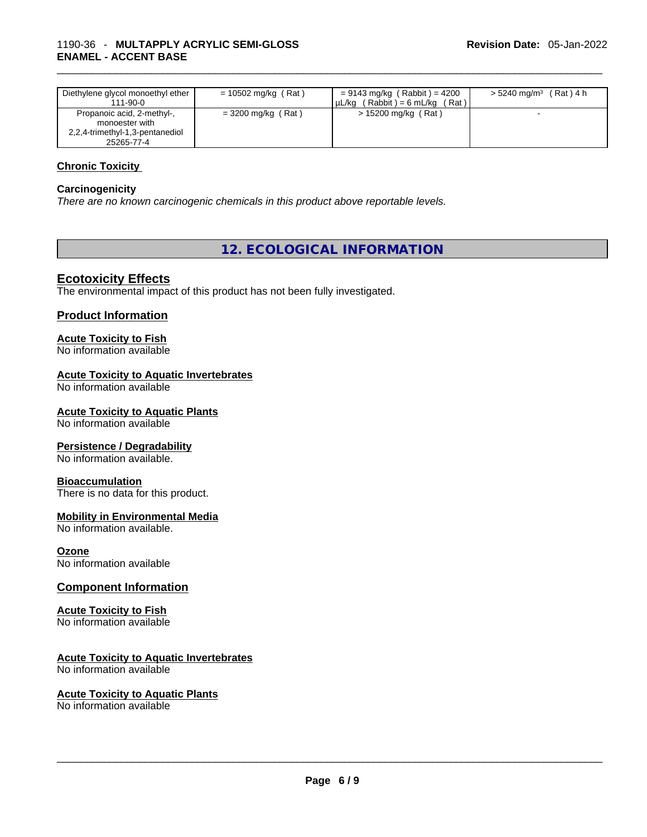| Diethylene glycol monoethyl ether<br>$111 - 90 - 0$                                           | $= 10502$ mg/kg (Rat) | $= 9143$ mg/kg (Rabbit) = 4200<br>$(Rabbit) = 6 mL/kg$<br>$'$ Rat $)$ .<br>uL/ka | $> 5240$ mg/m <sup>3</sup> (Rat) 4 h |
|-----------------------------------------------------------------------------------------------|-----------------------|----------------------------------------------------------------------------------|--------------------------------------|
| Propanoic acid, 2-methyl-,<br>monoester with<br>2,2,4-trimethyl-1,3-pentanediol<br>25265-77-4 | $=$ 3200 mg/kg (Rat)  | $> 15200$ mg/kg (Rat)                                                            |                                      |

#### **Chronic Toxicity**

#### **Carcinogenicity**

*There are no known carcinogenic chemicals in this product above reportable levels.* 

#### **12. ECOLOGICAL INFORMATION**

#### **Ecotoxicity Effects**

The environmental impact of this product has not been fully investigated.

#### **Product Information**

### **Acute Toxicity to Fish**

No information available

#### **Acute Toxicity to Aquatic Invertebrates**

No information available

#### **Acute Toxicity to Aquatic Plants**

No information available

#### **Persistence / Degradability**

No information available.

#### **Bioaccumulation**

There is no data for this product.

#### **Mobility in Environmental Media**

No information available.

#### **Ozone**

No information available

#### **Component Information**

#### **Acute Toxicity to Fish**

No information available

#### **Acute Toxicity to Aquatic Invertebrates**

No information available

#### **Acute Toxicity to Aquatic Plants**

No information available \_\_\_\_\_\_\_\_\_\_\_\_\_\_\_\_\_\_\_\_\_\_\_\_\_\_\_\_\_\_\_\_\_\_\_\_\_\_\_\_\_\_\_\_\_\_\_\_\_\_\_\_\_\_\_\_\_\_\_\_\_\_\_\_\_\_\_\_\_\_\_\_\_\_\_\_\_\_\_\_\_\_\_\_\_\_\_\_\_\_\_\_\_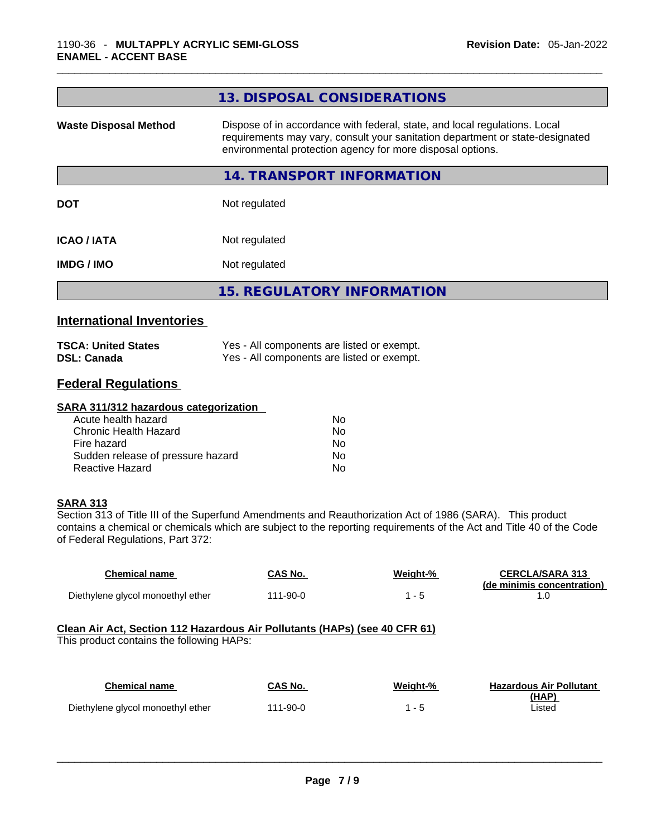|                              | 13. DISPOSAL CONSIDERATIONS                                                                                                                                                                                               |
|------------------------------|---------------------------------------------------------------------------------------------------------------------------------------------------------------------------------------------------------------------------|
| <b>Waste Disposal Method</b> | Dispose of in accordance with federal, state, and local regulations. Local<br>requirements may vary, consult your sanitation department or state-designated<br>environmental protection agency for more disposal options. |
|                              | 14. TRANSPORT INFORMATION                                                                                                                                                                                                 |
| <b>DOT</b>                   | Not regulated                                                                                                                                                                                                             |
| <b>ICAO/IATA</b>             | Not regulated                                                                                                                                                                                                             |
| <b>IMDG/IMO</b>              | Not regulated                                                                                                                                                                                                             |
|                              | <b>15. REGULATORY INFORMATION</b>                                                                                                                                                                                         |
|                              |                                                                                                                                                                                                                           |

#### **International Inventories**

| <b>TSCA: United States</b> | Yes - All components are listed or exempt. |
|----------------------------|--------------------------------------------|
| <b>DSL: Canada</b>         | Yes - All components are listed or exempt. |

#### **Federal Regulations**

#### **SARA 311/312 hazardous categorization**

| Acute health hazard               | No. |
|-----------------------------------|-----|
| Chronic Health Hazard             | Nο  |
| Fire hazard                       | N٥  |
| Sudden release of pressure hazard | Nο  |
| Reactive Hazard                   | N٥  |

#### **SARA 313**

Section 313 of Title III of the Superfund Amendments and Reauthorization Act of 1986 (SARA). This product contains a chemical or chemicals which are subject to the reporting requirements of the Act and Title 40 of the Code of Federal Regulations, Part 372:

| Chemical name                     | CAS No.  | Weight-% | <b>CERCLA/SARA 313</b>     |
|-----------------------------------|----------|----------|----------------------------|
|                                   |          |          | (de minimis concentration) |
| Diethylene glycol monoethyl ether | 111-90-0 |          |                            |

#### **Clean Air Act,Section 112 Hazardous Air Pollutants (HAPs) (see 40 CFR 61)**

This product contains the following HAPs:

| <b>Chemical name</b>              | CAS No.  | Weight-% | <b>Hazardous Air Pollutant</b> |
|-----------------------------------|----------|----------|--------------------------------|
|                                   |          |          | (HAP)                          |
| Diethylene glycol monoethyl ether | 111-90-0 |          | Listed                         |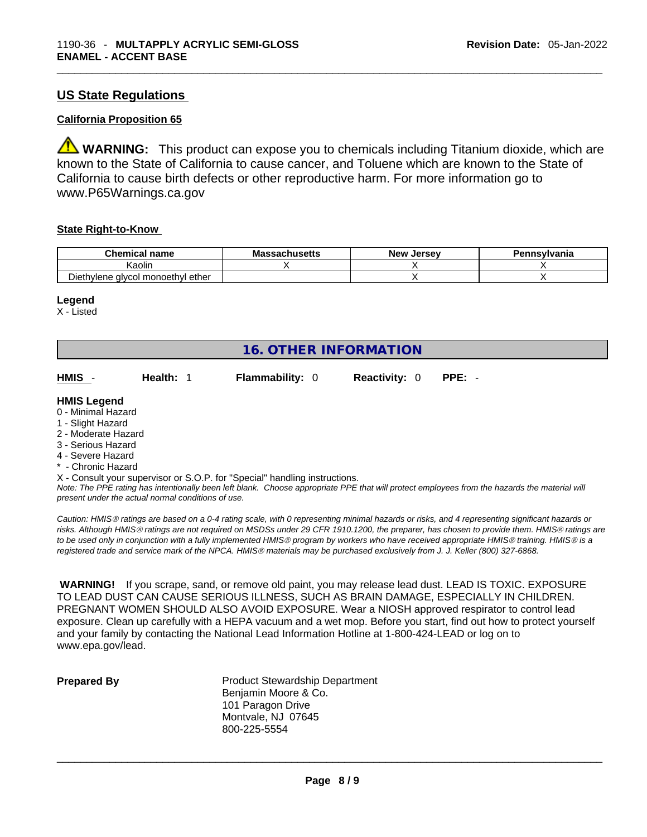#### **US State Regulations**

#### **California Proposition 65**

**WARNING:** This product can expose you to chemicals including Titanium dioxide, which are known to the State of California to cause cancer, and Toluene which are known to the State of California to cause birth defects or other reproductive harm. For more information go to www.P65Warnings.ca.gov

#### **State Right-to-Know**

| <b>Chemical</b><br>name                  | Massachusetts | Jersev<br><b>New</b> | Pennsylvania |
|------------------------------------------|---------------|----------------------|--------------|
| (aolin                                   |               |                      |              |
| hvlene alvcol monoethvl ether.<br>⊃ieth' |               |                      |              |

#### **Legend**

X - Listed

| <b>16. OTHER INFORMATION</b>                                                                                                                          |                                                    |                                                                            |                      |                                                                                                                                               |
|-------------------------------------------------------------------------------------------------------------------------------------------------------|----------------------------------------------------|----------------------------------------------------------------------------|----------------------|-----------------------------------------------------------------------------------------------------------------------------------------------|
| HMIS -                                                                                                                                                | Health: 1                                          | <b>Flammability: 0</b>                                                     | <b>Reactivity: 0</b> | $PPE: -$                                                                                                                                      |
| <b>HMIS Legend</b><br>0 - Minimal Hazard<br>1 - Slight Hazard<br>2 - Moderate Hazard<br>3 - Serious Hazard<br>4 - Severe Hazard<br>* - Chronic Hazard |                                                    |                                                                            |                      |                                                                                                                                               |
|                                                                                                                                                       | present under the actual normal conditions of use. | X - Consult your supervisor or S.O.P. for "Special" handling instructions. |                      | Note: The PPE rating has intentionally been left blank. Choose appropriate PPE that will protect employees from the hazards the material will |

*Caution: HMISÒ ratings are based on a 0-4 rating scale, with 0 representing minimal hazards or risks, and 4 representing significant hazards or risks. Although HMISÒ ratings are not required on MSDSs under 29 CFR 1910.1200, the preparer, has chosen to provide them. HMISÒ ratings are to be used only in conjunction with a fully implemented HMISÒ program by workers who have received appropriate HMISÒ training. HMISÒ is a registered trade and service mark of the NPCA. HMISÒ materials may be purchased exclusively from J. J. Keller (800) 327-6868.* 

 **WARNING!** If you scrape, sand, or remove old paint, you may release lead dust. LEAD IS TOXIC. EXPOSURE TO LEAD DUST CAN CAUSE SERIOUS ILLNESS, SUCH AS BRAIN DAMAGE, ESPECIALLY IN CHILDREN. PREGNANT WOMEN SHOULD ALSO AVOID EXPOSURE.Wear a NIOSH approved respirator to control lead exposure. Clean up carefully with a HEPA vacuum and a wet mop. Before you start, find out how to protect yourself and your family by contacting the National Lead Information Hotline at 1-800-424-LEAD or log on to www.epa.gov/lead.

**Prepared By Product Stewardship Department** Benjamin Moore & Co. 101 Paragon Drive Montvale, NJ 07645 800-225-5554